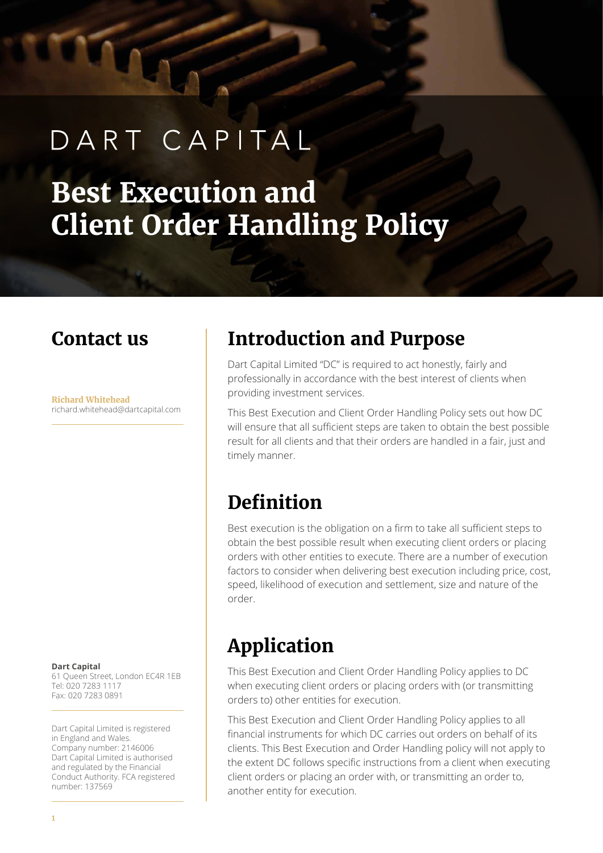# DART CAPITAL

## **Best Execution and Client Order Handling Policy**

### **Contact us**

**Richard Whitehead** richard.whitehead@dartcapital.com

**Dart Capital** 61 Queen Street, London EC4R 1EB Tel: 020 7283 1117 Fax: 020 7283 0891

Dart Capital Limited is registered in England and Wales. Company number: 2146006 Dart Capital Limited is authorised and regulated by the Financial Conduct Authority. FCA registered number: 137569

### **Introduction and Purpose**

Dart Capital Limited "DC" is required to act honestly, fairly and professionally in accordance with the best interest of clients when providing investment services.

This Best Execution and Client Order Handling Policy sets out how DC will ensure that all sufficient steps are taken to obtain the best possible result for all clients and that their orders are handled in a fair, just and timely manner.

### **Definition**

Best execution is the obligation on a firm to take all sufficient steps to obtain the best possible result when executing client orders or placing orders with other entities to execute. There are a number of execution factors to consider when delivering best execution including price, cost, speed, likelihood of execution and settlement, size and nature of the order.

### **Application**

This Best Execution and Client Order Handling Policy applies to DC when executing client orders or placing orders with (or transmitting orders to) other entities for execution.

This Best Execution and Client Order Handling Policy applies to all financial instruments for which DC carries out orders on behalf of its clients. This Best Execution and Order Handling policy will not apply to the extent DC follows specific instructions from a client when executing client orders or placing an order with, or transmitting an order to, another entity for execution.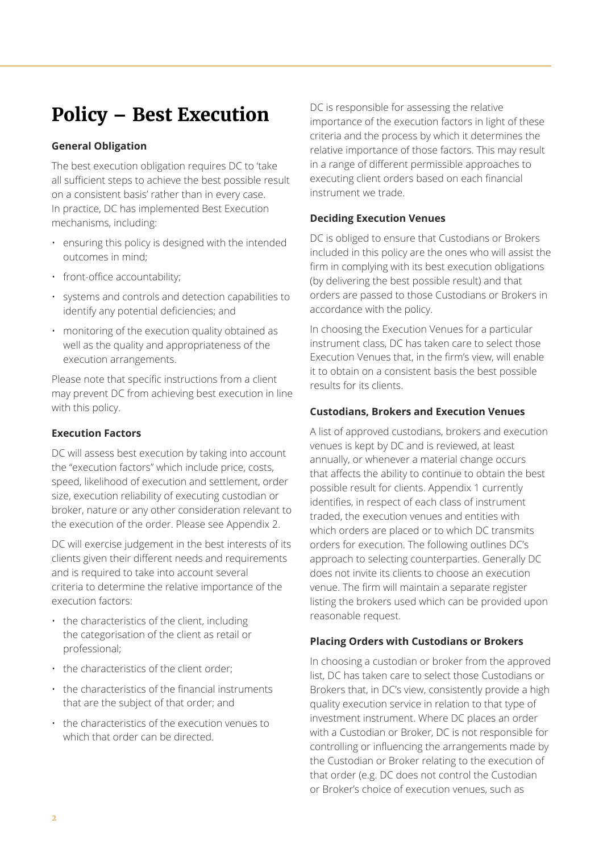### **Policy – Best Execution**

#### **General Obligation**

The best execution obligation requires DC to 'take all sufficient steps to achieve the best possible result on a consistent basis' rather than in every case. In practice, DC has implemented Best Execution mechanisms, including:

- ensuring this policy is designed with the intended outcomes in mind;
- front-office accountability;
- systems and controls and detection capabilities to identify any potential deficiencies; and
- monitoring of the execution quality obtained as well as the quality and appropriateness of the execution arrangements.

Please note that specific instructions from a client may prevent DC from achieving best execution in line with this policy.

#### **Execution Factors**

DC will assess best execution by taking into account the "execution factors" which include price, costs, speed, likelihood of execution and settlement, order size, execution reliability of executing custodian or broker, nature or any other consideration relevant to the execution of the order. Please see Appendix 2.

DC will exercise judgement in the best interests of its clients given their different needs and requirements and is required to take into account several criteria to determine the relative importance of the execution factors:

- the characteristics of the client, including the categorisation of the client as retail or professional;
- the characteristics of the client order;
- the characteristics of the financial instruments that are the subject of that order; and
- the characteristics of the execution venues to which that order can be directed.

DC is responsible for assessing the relative importance of the execution factors in light of these criteria and the process by which it determines the relative importance of those factors. This may result in a range of different permissible approaches to executing client orders based on each financial instrument we trade.

#### **Deciding Execution Venues**

DC is obliged to ensure that Custodians or Brokers included in this policy are the ones who will assist the firm in complying with its best execution obligations (by delivering the best possible result) and that orders are passed to those Custodians or Brokers in accordance with the policy.

In choosing the Execution Venues for a particular instrument class, DC has taken care to select those Execution Venues that, in the firm's view, will enable it to obtain on a consistent basis the best possible results for its clients.

#### **Custodians, Brokers and Execution Venues**

A list of approved custodians, brokers and execution venues is kept by DC and is reviewed, at least annually, or whenever a material change occurs that affects the ability to continue to obtain the best possible result for clients. Appendix 1 currently identifies, in respect of each class of instrument traded, the execution venues and entities with which orders are placed or to which DC transmits orders for execution. The following outlines DC's approach to selecting counterparties. Generally DC does not invite its clients to choose an execution venue. The firm will maintain a separate register listing the brokers used which can be provided upon reasonable request.

#### **Placing Orders with Custodians or Brokers**

In choosing a custodian or broker from the approved list, DC has taken care to select those Custodians or Brokers that, in DC's view, consistently provide a high quality execution service in relation to that type of investment instrument. Where DC places an order with a Custodian or Broker, DC is not responsible for controlling or influencing the arrangements made by the Custodian or Broker relating to the execution of that order (e.g. DC does not control the Custodian or Broker's choice of execution venues, such as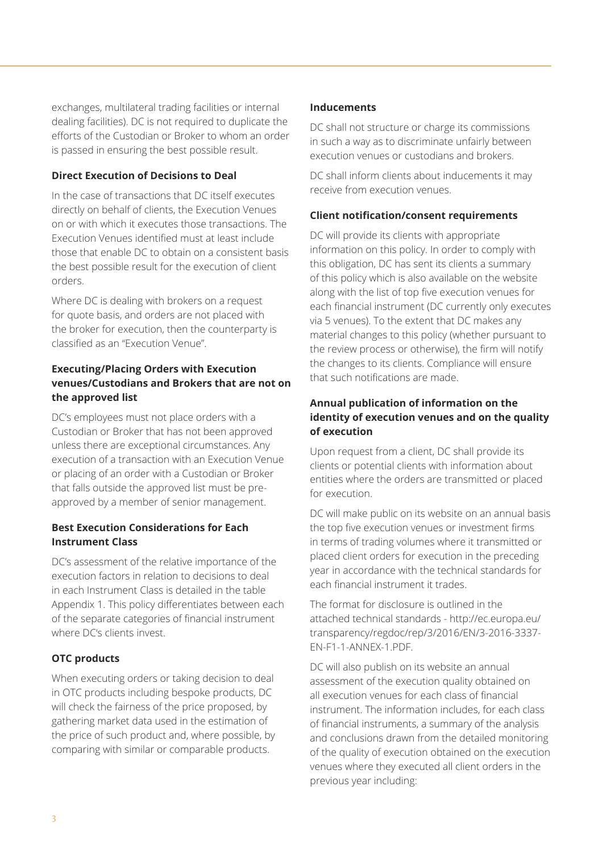exchanges, multilateral trading facilities or internal dealing facilities). DC is not required to duplicate the efforts of the Custodian or Broker to whom an order is passed in ensuring the best possible result.

#### **Direct Execution of Decisions to Deal**

In the case of transactions that DC itself executes directly on behalf of clients, the Execution Venues on or with which it executes those transactions. The Execution Venues identified must at least include those that enable DC to obtain on a consistent basis the best possible result for the execution of client orders.

Where DC is dealing with brokers on a request for quote basis, and orders are not placed with the broker for execution, then the counterparty is classified as an "Execution Venue".

#### **Executing/Placing Orders with Execution venues/Custodians and Brokers that are not on the approved list**

DC's employees must not place orders with a Custodian or Broker that has not been approved unless there are exceptional circumstances. Any execution of a transaction with an Execution Venue or placing of an order with a Custodian or Broker that falls outside the approved list must be preapproved by a member of senior management.

#### **Best Execution Considerations for Each Instrument Class**

DC's assessment of the relative importance of the execution factors in relation to decisions to deal in each Instrument Class is detailed in the table Appendix 1. This policy differentiates between each of the separate categories of financial instrument where DC's clients invest.

#### **OTC products**

When executing orders or taking decision to deal in OTC products including bespoke products, DC will check the fairness of the price proposed, by gathering market data used in the estimation of the price of such product and, where possible, by comparing with similar or comparable products.

#### **Inducements**

DC shall not structure or charge its commissions in such a way as to discriminate unfairly between execution venues or custodians and brokers.

DC shall inform clients about inducements it may receive from execution venues.

#### **Client notification/consent requirements**

DC will provide its clients with appropriate information on this policy. In order to comply with this obligation, DC has sent its clients a summary of this policy which is also available on the website along with the list of top five execution venues for each financial instrument (DC currently only executes via 5 venues). To the extent that DC makes any material changes to this policy (whether pursuant to the review process or otherwise), the firm will notify the changes to its clients. Compliance will ensure that such notifications are made.

#### **Annual publication of information on the identity of execution venues and on the quality of execution**

Upon request from a client, DC shall provide its clients or potential clients with information about entities where the orders are transmitted or placed for execution.

DC will make public on its website on an annual basis the top five execution venues or investment firms in terms of trading volumes where it transmitted or placed client orders for execution in the preceding year in accordance with the technical standards for each financial instrument it trades.

The format for disclosure is outlined in the attached technical standards - http://ec.europa.eu/ transparency/regdoc/rep/3/2016/EN/3-2016-3337- EN-F1-1-ANNEX-1.PDF.

DC will also publish on its website an annual assessment of the execution quality obtained on all execution venues for each class of financial instrument. The information includes, for each class of financial instruments, a summary of the analysis and conclusions drawn from the detailed monitoring of the quality of execution obtained on the execution venues where they executed all client orders in the previous year including: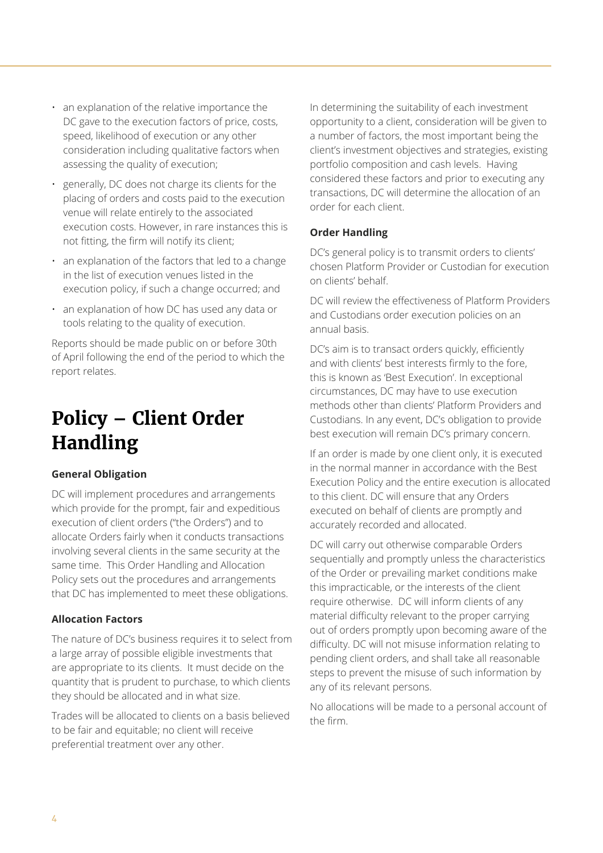- an explanation of the relative importance the DC gave to the execution factors of price, costs, speed, likelihood of execution or any other consideration including qualitative factors when assessing the quality of execution;
- generally, DC does not charge its clients for the placing of orders and costs paid to the execution venue will relate entirely to the associated execution costs. However, in rare instances this is not fitting, the firm will notify its client;
- an explanation of the factors that led to a change in the list of execution venues listed in the execution policy, if such a change occurred; and
- an explanation of how DC has used any data or tools relating to the quality of execution.

Reports should be made public on or before 30th of April following the end of the period to which the report relates.

### **Policy – Client Order Handling**

#### **General Obligation**

DC will implement procedures and arrangements which provide for the prompt, fair and expeditious execution of client orders ("the Orders") and to allocate Orders fairly when it conducts transactions involving several clients in the same security at the same time. This Order Handling and Allocation Policy sets out the procedures and arrangements that DC has implemented to meet these obligations.

#### **Allocation Factors**

The nature of DC's business requires it to select from a large array of possible eligible investments that are appropriate to its clients. It must decide on the quantity that is prudent to purchase, to which clients they should be allocated and in what size.

Trades will be allocated to clients on a basis believed to be fair and equitable; no client will receive preferential treatment over any other.

In determining the suitability of each investment opportunity to a client, consideration will be given to a number of factors, the most important being the client's investment objectives and strategies, existing portfolio composition and cash levels. Having considered these factors and prior to executing any transactions, DC will determine the allocation of an order for each client.

#### **Order Handling**

DC's general policy is to transmit orders to clients' chosen Platform Provider or Custodian for execution on clients' behalf.

DC will review the effectiveness of Platform Providers and Custodians order execution policies on an annual basis.

DC's aim is to transact orders quickly, efficiently and with clients' best interests firmly to the fore, this is known as 'Best Execution'. In exceptional circumstances, DC may have to use execution methods other than clients' Platform Providers and Custodians. In any event, DC's obligation to provide best execution will remain DC's primary concern.

If an order is made by one client only, it is executed in the normal manner in accordance with the Best Execution Policy and the entire execution is allocated to this client. DC will ensure that any Orders executed on behalf of clients are promptly and accurately recorded and allocated.

DC will carry out otherwise comparable Orders sequentially and promptly unless the characteristics of the Order or prevailing market conditions make this impracticable, or the interests of the client require otherwise. DC will inform clients of any material difficulty relevant to the proper carrying out of orders promptly upon becoming aware of the difficulty. DC will not misuse information relating to pending client orders, and shall take all reasonable steps to prevent the misuse of such information by any of its relevant persons.

No allocations will be made to a personal account of the firm.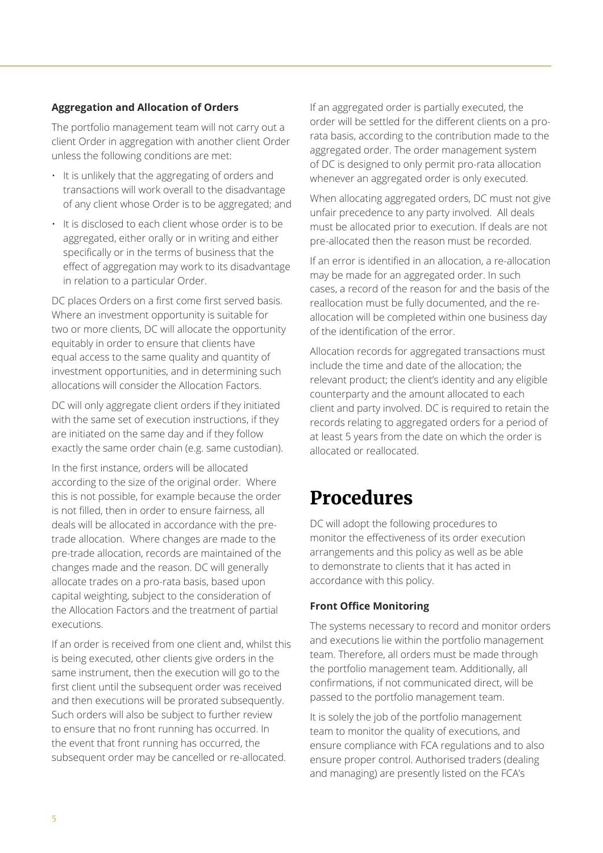#### **Aggregation and Allocation of Orders**

The portfolio management team will not carry out a client Order in aggregation with another client Order unless the following conditions are met:

- It is unlikely that the aggregating of orders and transactions will work overall to the disadvantage of any client whose Order is to be aggregated; and
- It is disclosed to each client whose order is to be aggregated, either orally or in writing and either specifically or in the terms of business that the effect of aggregation may work to its disadvantage in relation to a particular Order.

DC places Orders on a first come first served basis. Where an investment opportunity is suitable for two or more clients, DC will allocate the opportunity equitably in order to ensure that clients have equal access to the same quality and quantity of investment opportunities, and in determining such allocations will consider the Allocation Factors.

DC will only aggregate client orders if they initiated with the same set of execution instructions, if they are initiated on the same day and if they follow exactly the same order chain (e.g. same custodian).

In the first instance, orders will be allocated according to the size of the original order. Where this is not possible, for example because the order is not filled, then in order to ensure fairness, all deals will be allocated in accordance with the pretrade allocation. Where changes are made to the pre-trade allocation, records are maintained of the changes made and the reason. DC will generally allocate trades on a pro-rata basis, based upon capital weighting, subject to the consideration of the Allocation Factors and the treatment of partial executions.

If an order is received from one client and, whilst this is being executed, other clients give orders in the same instrument, then the execution will go to the first client until the subsequent order was received and then executions will be prorated subsequently. Such orders will also be subject to further review to ensure that no front running has occurred. In the event that front running has occurred, the subsequent order may be cancelled or re-allocated.

If an aggregated order is partially executed, the order will be settled for the different clients on a prorata basis, according to the contribution made to the aggregated order. The order management system of DC is designed to only permit pro-rata allocation whenever an aggregated order is only executed.

When allocating aggregated orders, DC must not give unfair precedence to any party involved. All deals must be allocated prior to execution. If deals are not pre-allocated then the reason must be recorded.

If an error is identified in an allocation, a re-allocation may be made for an aggregated order. In such cases, a record of the reason for and the basis of the reallocation must be fully documented, and the reallocation will be completed within one business day of the identification of the error.

Allocation records for aggregated transactions must include the time and date of the allocation; the relevant product; the client's identity and any eligible counterparty and the amount allocated to each client and party involved. DC is required to retain the records relating to aggregated orders for a period of at least 5 years from the date on which the order is allocated or reallocated.

### **Procedures**

DC will adopt the following procedures to monitor the effectiveness of its order execution arrangements and this policy as well as be able to demonstrate to clients that it has acted in accordance with this policy.

#### **Front Office Monitoring**

The systems necessary to record and monitor orders and executions lie within the portfolio management team. Therefore, all orders must be made through the portfolio management team. Additionally, all confirmations, if not communicated direct, will be passed to the portfolio management team.

It is solely the job of the portfolio management team to monitor the quality of executions, and ensure compliance with FCA regulations and to also ensure proper control. Authorised traders (dealing and managing) are presently listed on the FCA's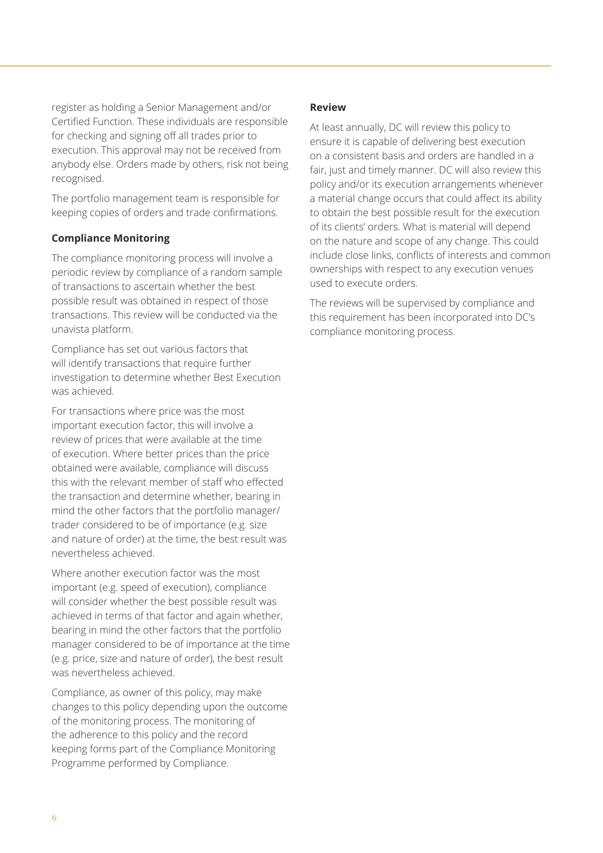register as holding a Senior Management and/or Certified Function. These individuals are responsible for checking and signing off all trades prior to execution. This approval may not be received from anybody else. Orders made by others, risk not being recognised.

The portfolio management team is responsible for keeping copies of orders and trade confirmations.

#### **Compliance Monitoring**

The compliance monitoring process will involve a periodic review by compliance of a random sample of transactions to ascertain whether the best possible result was obtained in respect of those transactions. This review will be conducted via the unavista platform.

Compliance has set out various factors that will identify transactions that require further investigation to determine whether Best Execution was achieved.

For transactions where price was the most important execution factor, this will involve a review of prices that were available at the time of execution. Where better prices than the price obtained were available, compliance will discuss this with the relevant member of staff who effected the transaction and determine whether, bearing in mind the other factors that the portfolio manager/ trader considered to be of importance (e.g. size and nature of order) at the time, the best result was nevertheless achieved.

Where another execution factor was the most important (e.g. speed of execution), compliance will consider whether the best possible result was achieved in terms of that factor and again whether, bearing in mind the other factors that the portfolio manager considered to be of importance at the time (e.g. price, size and nature of order), the best result was nevertheless achieved.

Compliance, as owner of this policy, may make changes to this policy depending upon the outcome of the monitoring process. The monitoring of the adherence to this policy and the record keeping forms part of the Compliance Monitoring Programme performed by Compliance.

#### **Review**

At least annually, DC will review this policy to ensure it is capable of delivering best execution on a consistent basis and orders are handled in a fair, just and timely manner. DC will also review this policy and/or its execution arrangements whenever a material change occurs that could affect its ability to obtain the best possible result for the execution of its clients' orders. What is material will depend on the nature and scope of any change. This could include close links, conflicts of interests and common ownerships with respect to any execution venues used to execute orders.

The reviews will be supervised by compliance and this requirement has been incorporated into DC's compliance monitoring process.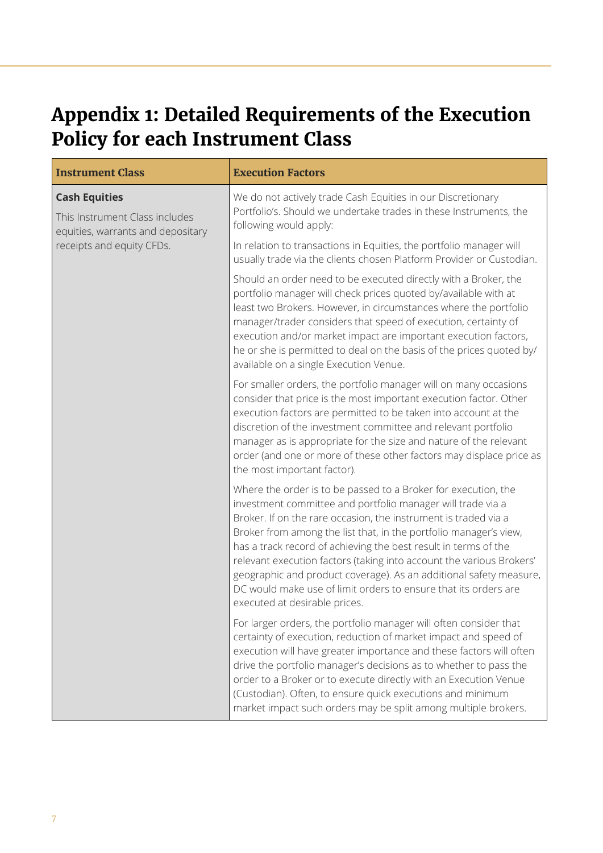### **Appendix 1: Detailed Requirements of the Execution Policy for each Instrument Class**

| <b>Instrument Class</b>                                                                                                  | <b>Execution Factors</b>                                                                                                                                                                                                                                                                                                                                                                                                                                                                                                                                                                   |
|--------------------------------------------------------------------------------------------------------------------------|--------------------------------------------------------------------------------------------------------------------------------------------------------------------------------------------------------------------------------------------------------------------------------------------------------------------------------------------------------------------------------------------------------------------------------------------------------------------------------------------------------------------------------------------------------------------------------------------|
| <b>Cash Equities</b><br>This Instrument Class includes<br>equities, warrants and depositary<br>receipts and equity CFDs. | We do not actively trade Cash Equities in our Discretionary<br>Portfolio's. Should we undertake trades in these Instruments, the<br>following would apply:                                                                                                                                                                                                                                                                                                                                                                                                                                 |
|                                                                                                                          | In relation to transactions in Equities, the portfolio manager will<br>usually trade via the clients chosen Platform Provider or Custodian.                                                                                                                                                                                                                                                                                                                                                                                                                                                |
|                                                                                                                          | Should an order need to be executed directly with a Broker, the<br>portfolio manager will check prices quoted by/available with at<br>least two Brokers. However, in circumstances where the portfolio<br>manager/trader considers that speed of execution, certainty of<br>execution and/or market impact are important execution factors,<br>he or she is permitted to deal on the basis of the prices quoted by/<br>available on a single Execution Venue.                                                                                                                              |
|                                                                                                                          | For smaller orders, the portfolio manager will on many occasions<br>consider that price is the most important execution factor. Other<br>execution factors are permitted to be taken into account at the<br>discretion of the investment committee and relevant portfolio<br>manager as is appropriate for the size and nature of the relevant<br>order (and one or more of these other factors may displace price as<br>the most important factor).                                                                                                                                       |
|                                                                                                                          | Where the order is to be passed to a Broker for execution, the<br>investment committee and portfolio manager will trade via a<br>Broker. If on the rare occasion, the instrument is traded via a<br>Broker from among the list that, in the portfolio manager's view,<br>has a track record of achieving the best result in terms of the<br>relevant execution factors (taking into account the various Brokers'<br>geographic and product coverage). As an additional safety measure,<br>DC would make use of limit orders to ensure that its orders are<br>executed at desirable prices. |
|                                                                                                                          | For larger orders, the portfolio manager will often consider that<br>certainty of execution, reduction of market impact and speed of<br>execution will have greater importance and these factors will often<br>drive the portfolio manager's decisions as to whether to pass the<br>order to a Broker or to execute directly with an Execution Venue<br>(Custodian). Often, to ensure quick executions and minimum<br>market impact such orders may be split among multiple brokers.                                                                                                       |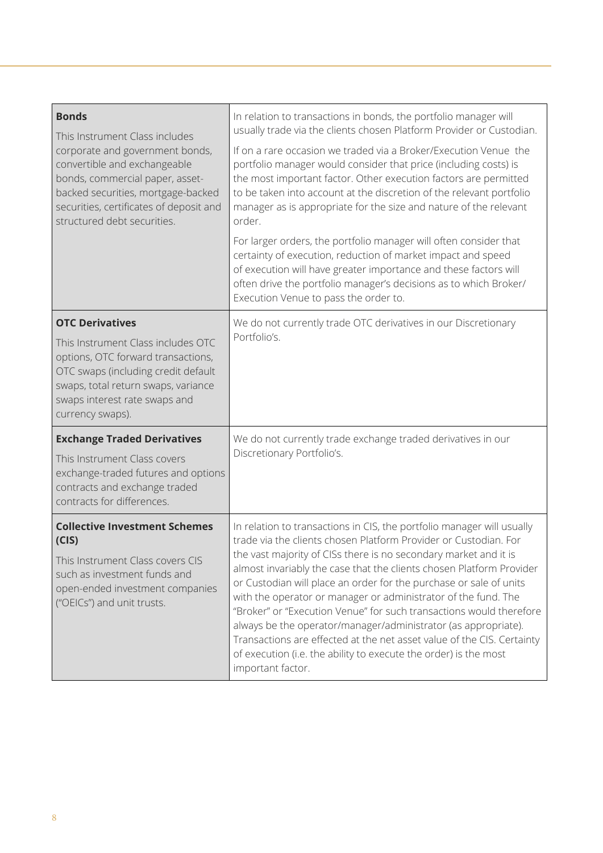| <b>Bonds</b><br>This Instrument Class includes<br>corporate and government bonds,<br>convertible and exchangeable<br>bonds, commercial paper, asset-<br>backed securities, mortgage-backed<br>securities, certificates of deposit and<br>structured debt securities. | In relation to transactions in bonds, the portfolio manager will<br>usually trade via the clients chosen Platform Provider or Custodian.                                                                                                                                                                                                                                                                                                                                                                                                                                                     |
|----------------------------------------------------------------------------------------------------------------------------------------------------------------------------------------------------------------------------------------------------------------------|----------------------------------------------------------------------------------------------------------------------------------------------------------------------------------------------------------------------------------------------------------------------------------------------------------------------------------------------------------------------------------------------------------------------------------------------------------------------------------------------------------------------------------------------------------------------------------------------|
|                                                                                                                                                                                                                                                                      | If on a rare occasion we traded via a Broker/Execution Venue the<br>portfolio manager would consider that price (including costs) is<br>the most important factor. Other execution factors are permitted<br>to be taken into account at the discretion of the relevant portfolio<br>manager as is appropriate for the size and nature of the relevant<br>order.                                                                                                                                                                                                                              |
|                                                                                                                                                                                                                                                                      | For larger orders, the portfolio manager will often consider that<br>certainty of execution, reduction of market impact and speed<br>of execution will have greater importance and these factors will<br>often drive the portfolio manager's decisions as to which Broker/<br>Execution Venue to pass the order to.                                                                                                                                                                                                                                                                          |
| <b>OTC Derivatives</b>                                                                                                                                                                                                                                               | We do not currently trade OTC derivatives in our Discretionary                                                                                                                                                                                                                                                                                                                                                                                                                                                                                                                               |
| This Instrument Class includes OTC<br>options, OTC forward transactions,<br>OTC swaps (including credit default<br>swaps, total return swaps, variance<br>swaps interest rate swaps and<br>currency swaps).                                                          | Portfolio's.                                                                                                                                                                                                                                                                                                                                                                                                                                                                                                                                                                                 |
| <b>Exchange Traded Derivatives</b>                                                                                                                                                                                                                                   | We do not currently trade exchange traded derivatives in our                                                                                                                                                                                                                                                                                                                                                                                                                                                                                                                                 |
| This Instrument Class covers<br>exchange-traded futures and options<br>contracts and exchange traded<br>contracts for differences.                                                                                                                                   | Discretionary Portfolio's.                                                                                                                                                                                                                                                                                                                                                                                                                                                                                                                                                                   |
| <b>Collective Investment Schemes</b><br>(CIS)                                                                                                                                                                                                                        | In relation to transactions in CIS, the portfolio manager will usually<br>trade via the clients chosen Platform Provider or Custodian. For                                                                                                                                                                                                                                                                                                                                                                                                                                                   |
| This Instrument Class covers CIS<br>such as investment funds and<br>open-ended investment companies<br>("OEICs") and unit trusts.                                                                                                                                    | the vast majority of CISs there is no secondary market and it is<br>almost invariably the case that the clients chosen Platform Provider<br>or Custodian will place an order for the purchase or sale of units<br>with the operator or manager or administrator of the fund. The<br>"Broker" or "Execution Venue" for such transactions would therefore<br>always be the operator/manager/administrator (as appropriate).<br>Transactions are effected at the net asset value of the CIS. Certainty<br>of execution (i.e. the ability to execute the order) is the most<br>important factor. |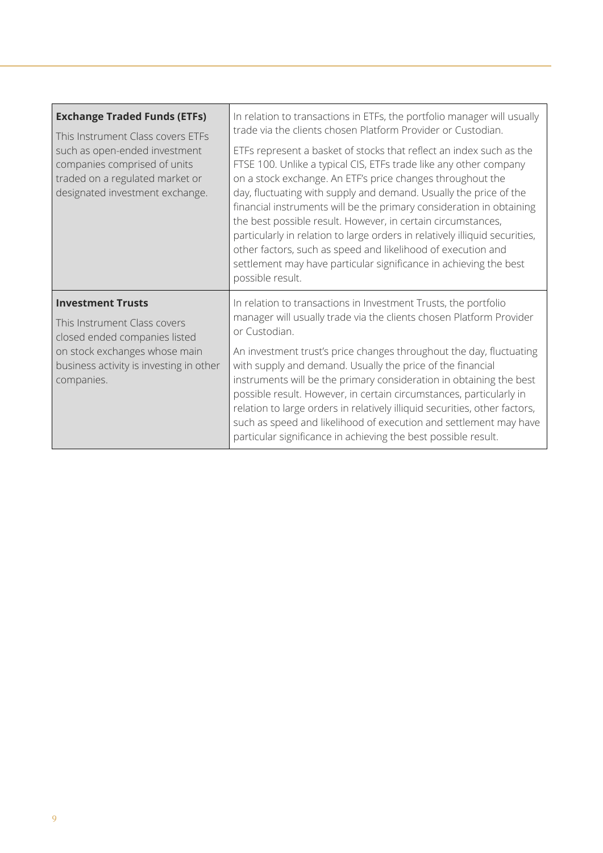| <b>Exchange Traded Funds (ETFs)</b><br>This Instrument Class covers ETFs<br>such as open-ended investment<br>companies comprised of units<br>traded on a regulated market or<br>designated investment exchange. | In relation to transactions in ETFs, the portfolio manager will usually<br>trade via the clients chosen Platform Provider or Custodian.                                                                                                                                                                                                                                                                                                                                                                                                                                                                                                                     |
|-----------------------------------------------------------------------------------------------------------------------------------------------------------------------------------------------------------------|-------------------------------------------------------------------------------------------------------------------------------------------------------------------------------------------------------------------------------------------------------------------------------------------------------------------------------------------------------------------------------------------------------------------------------------------------------------------------------------------------------------------------------------------------------------------------------------------------------------------------------------------------------------|
|                                                                                                                                                                                                                 | ETFs represent a basket of stocks that reflect an index such as the<br>FTSE 100. Unlike a typical CIS, ETFs trade like any other company<br>on a stock exchange. An ETF's price changes throughout the<br>day, fluctuating with supply and demand. Usually the price of the<br>financial instruments will be the primary consideration in obtaining<br>the best possible result. However, in certain circumstances,<br>particularly in relation to large orders in relatively illiquid securities,<br>other factors, such as speed and likelihood of execution and<br>settlement may have particular significance in achieving the best<br>possible result. |
| <b>Investment Trusts</b><br>This Instrument Class covers<br>closed ended companies listed<br>on stock exchanges whose main<br>business activity is investing in other<br>companies.                             | In relation to transactions in Investment Trusts, the portfolio<br>manager will usually trade via the clients chosen Platform Provider<br>or Custodian.                                                                                                                                                                                                                                                                                                                                                                                                                                                                                                     |
|                                                                                                                                                                                                                 | An investment trust's price changes throughout the day, fluctuating<br>with supply and demand. Usually the price of the financial<br>instruments will be the primary consideration in obtaining the best<br>possible result. However, in certain circumstances, particularly in<br>relation to large orders in relatively illiquid securities, other factors,<br>such as speed and likelihood of execution and settlement may have<br>particular significance in achieving the best possible result.                                                                                                                                                        |